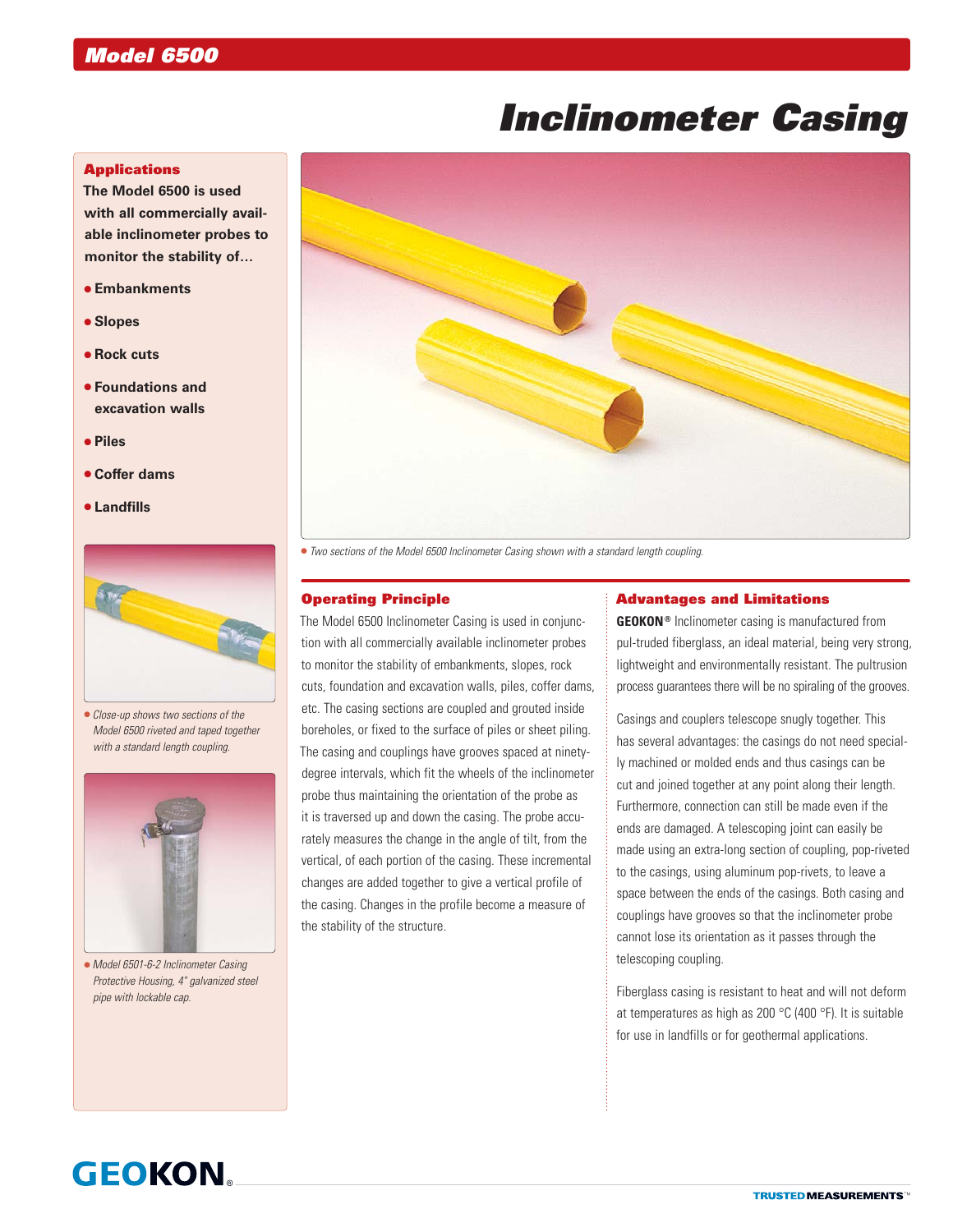# *Inclinometer Casing*

# **Applications**

**The Model 6500 is used with all commercially available inclinometer probes to monitor the stability of…**

- **Embankments**
- **Slopes**
- **Rock cuts**
- **Foundations and excavation walls**
- **Piles**
- **Coffer dams**
- **Landfills**



 *Close-up shows two sections of the Model 6500 riveted and taped together with a standard length coupling.*



 *Model 6501-6-2 Inclinometer Casing Protective Housing, 4" galvanized steel pipe with lockable cap.*



*Two sections of the Model 6500 Inclinometer Casing shown with a standard length coupling.*

### Operating Principle

The Model 6500 Inclinometer Casing is used in conjunction with all commercially available inclinometer probes to monitor the stability of embankments, slopes, rock cuts, foundation and excavation walls, piles, coffer dams, etc. The casing sections are coupled and grouted inside boreholes, or fixed to the surface of piles or sheet piling. The casing and couplings have grooves spaced at ninetydegree intervals, which fit the wheels of the inclinometer probe thus maintaining the orientation of the probe as it is traversed up and down the casing. The probe accurately measures the change in the angle of tilt, from the vertical, of each portion of the casing. These incremental changes are added together to give a vertical profile of the casing. Changes in the profile become a measure of the stability of the structure.

## Advantages and Limitations

**GEOKON®** Inclinometer casing is manufactured from pul-truded fiberglass, an ideal material, being very strong, lightweight and environmentally resistant. The pultrusion process guarantees there will be no spiraling of the grooves.

Casings and couplers telescope snugly together. This has several advantages: the casings do not need specially machined or molded ends and thus casings can be cut and joined together at any point along their length. Furthermore, connection can still be made even if the ends are damaged. A telescoping joint can easily be made using an extra-long section of coupling, pop-riveted to the casings, using aluminum pop-rivets, to leave a space between the ends of the casings. Both casing and couplings have grooves so that the inclinometer probe cannot lose its orientation as it passes through the telescoping coupling.

Fiberglass casing is resistant to heat and will not deform at temperatures as high as 200 °C (400 °F). It is suitable for use in landfills or for geothermal applications.

# **GEOKON**